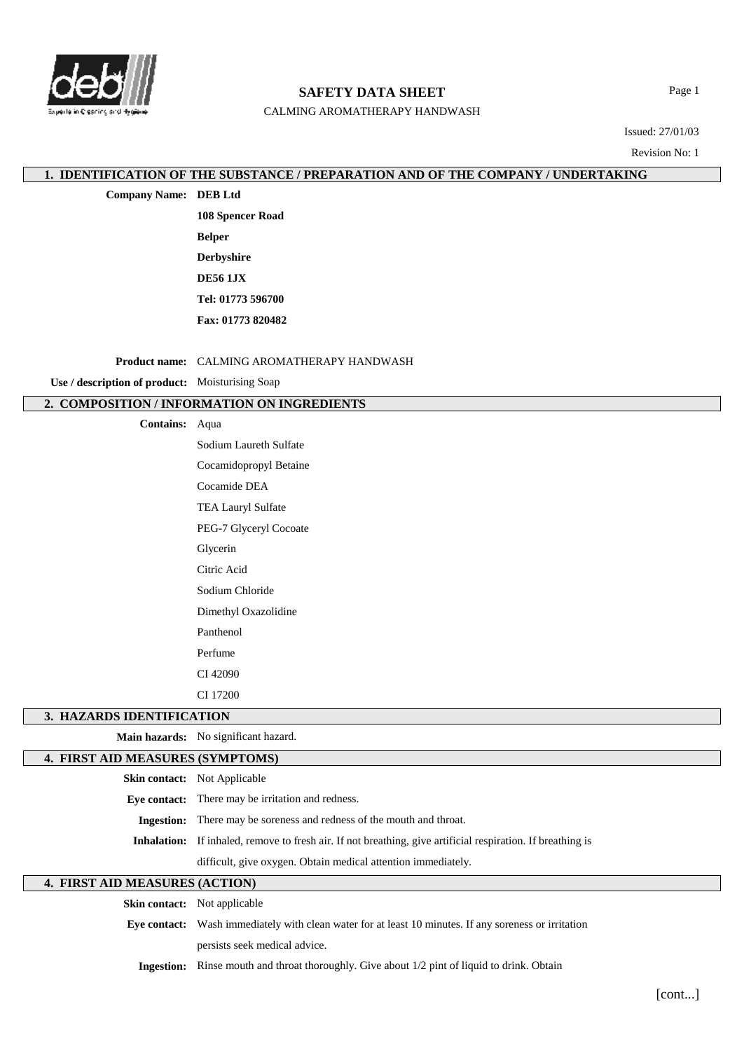

# **SAFETY DATA SHEET**

CALMING AROMATHERAPY HANDWASH

Page 1

Issued: 27/01/03

Revision No: 1

## **1. IDENTIFICATION OF THE SUBSTANCE / PREPARATION AND OF THE COMPANY / UNDERTAKING**

**Company Name: DEB Ltd**

**108 Spencer Road Belper Derbyshire DE56 1JX Tel: 01773 596700 Fax: 01773 820482**

**Product name:** CALMING AROMATHERAPY HANDWASH

**Use / description of product:** Moisturising Soap

# **2. COMPOSITION / INFORMATION ON INGREDIENTS**

**Contains:** Aqua

Sodium Laureth Sulfate Cocamidopropyl Betaine Cocamide DEA TEA Lauryl Sulfate PEG-7 Glyceryl Cocoate Glycerin Citric Acid Sodium Chloride Dimethyl Oxazolidine Panthenol Perfume CI 42090 CI 17200

## **3. HAZARDS IDENTIFICATION**

**Main hazards:** No significant hazard.

## **4. FIRST AID MEASURES (SYMPTOMS)**

|             | <b>Skin contact:</b> Not Applicable                                                             |  |
|-------------|-------------------------------------------------------------------------------------------------|--|
|             | <b>Eve contact:</b> There may be irritation and redness.                                        |  |
|             | <b>Ingestion:</b> There may be soreness and redness of the mouth and throat.                    |  |
| Inhalation: | If inhaled, remove to fresh air. If not breathing, give artificial respiration. If breathing is |  |
|             | difficult, give oxygen. Obtain medical attention immediately.                                   |  |

# **4. FIRST AID MEASURES (ACTION)**

| <b>Skin contact:</b> Not applicable                                                                          |  |  |
|--------------------------------------------------------------------------------------------------------------|--|--|
| <b>Eye contact:</b> Wash immediately with clean water for at least 10 minutes. If any soreness or irritation |  |  |
| persists seek medical advice.                                                                                |  |  |
| <b>Ingestion:</b> Rinse mouth and throat thoroughly. Give about 1/2 pint of liquid to drink. Obtain          |  |  |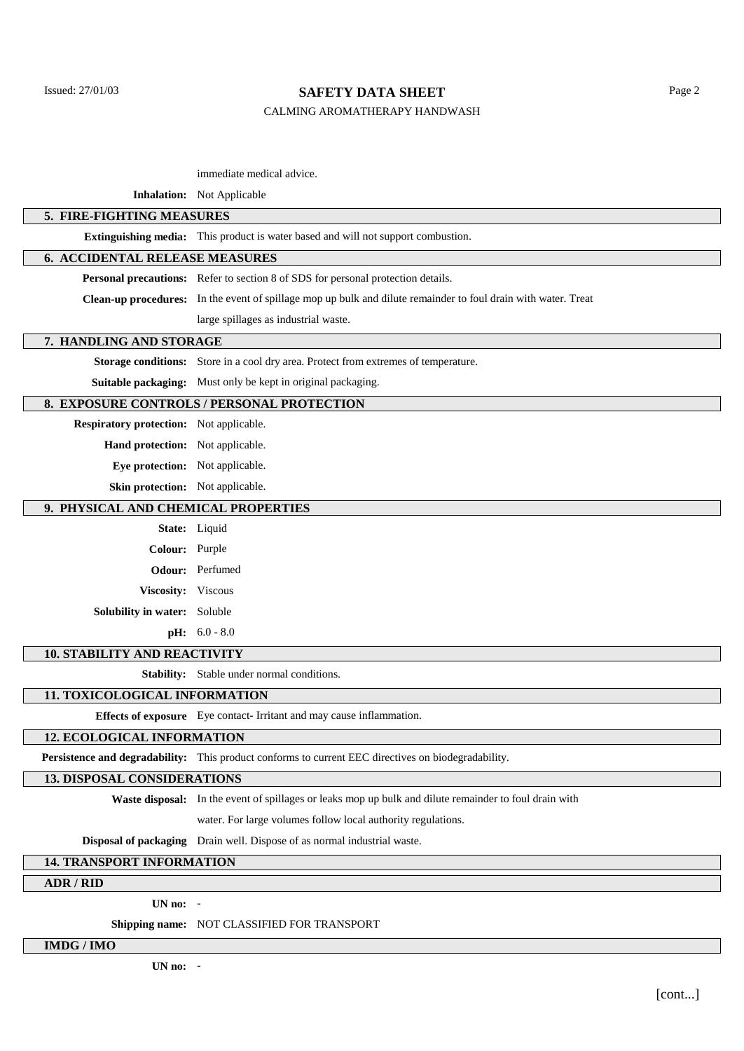## Issued: 27/01/03 Page 2

#### CALMING AROMATHERAPY HANDWASH

## immediate medical advice.

#### **Inhalation:** Not Applicable

## **5. FIRE-FIGHTING MEASURES**

**Extinguishing media:** This product is water based and will not support combustion.

## **6. ACCIDENTAL RELEASE MEASURES**

**Personal precautions:** Refer to section 8 of SDS for personal protection details.

**Clean-up procedures:** In the event of spillage mop up bulk and dilute remainder to foul drain with water. Treat

large spillages as industrial waste.

#### **7. HANDLING AND STORAGE**

**Storage conditions:** Store in a cool dry area. Protect from extremes of temperature.

**Suitable packaging:** Must only be kept in original packaging.

## **8. EXPOSURE CONTROLS / PERSONAL PROTECTION**

**Respiratory protection:** Not applicable.

**Hand protection:** Not applicable.

**Eye protection:** Not applicable.

**Skin protection:** Not applicable.

## **9. PHYSICAL AND CHEMICAL PROPERTIES**

|                                     | State: Liquid          |
|-------------------------------------|------------------------|
| Colour: Purple                      |                        |
|                                     | <b>Odour:</b> Perfumed |
| Viscosity: Viscous                  |                        |
| <b>Solubility in water:</b> Soluble |                        |
|                                     | <b>pH:</b> $6.0 - 8.0$ |

#### **10. STABILITY AND REACTIVITY**

**Stability:** Stable under normal conditions.

#### **11. TOXICOLOGICAL INFORMATION**

**Effects of exposure** Eye contact- Irritant and may cause inflammation.

# **12. ECOLOGICAL INFORMATION**

**Persistence and degradability:** This product conforms to current EEC directives on biodegradability.

## **13. DISPOSAL CONSIDERATIONS**

**Waste disposal:** In the event of spillages or leaks mop up bulk and dilute remainder to foul drain with

water. For large volumes follow local authority regulations.

**Disposal of packaging** Drain well. Dispose of as normal industrial waste.

## **14. TRANSPORT INFORMATION**

#### **ADR / RID**

**UN no:** -

**Shipping name:** NOT CLASSIFIED FOR TRANSPORT

**IMDG / IMO**